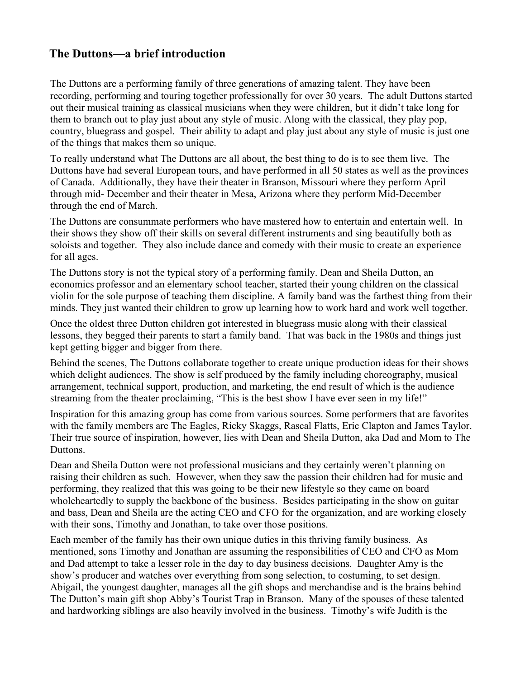## **The Duttons—a brief introduction**

The Duttons are a performing family of three generations of amazing talent. They have been recording, performing and touring together professionally for over 30 years. The adult Duttons started out their musical training as classical musicians when they were children, but it didn't take long for them to branch out to play just about any style of music. Along with the classical, they play pop, country, bluegrass and gospel. Their ability to adapt and play just about any style of music is just one of the things that makes them so unique.

To really understand what The Duttons are all about, the best thing to do is to see them live. The Duttons have had several European tours, and have performed in all 50 states as well as the provinces of Canada. Additionally, they have their theater in Branson, Missouri where they perform April through mid- December and their theater in Mesa, Arizona where they perform Mid-December through the end of March.

The Duttons are consummate performers who have mastered how to entertain and entertain well. In their shows they show off their skills on several different instruments and sing beautifully both as soloists and together. They also include dance and comedy with their music to create an experience for all ages.

The Duttons story is not the typical story of a performing family. Dean and Sheila Dutton, an economics professor and an elementary school teacher, started their young children on the classical violin for the sole purpose of teaching them discipline. A family band was the farthest thing from their minds. They just wanted their children to grow up learning how to work hard and work well together.

Once the oldest three Dutton children got interested in bluegrass music along with their classical lessons, they begged their parents to start a family band. That was back in the 1980s and things just kept getting bigger and bigger from there.

Behind the scenes, The Duttons collaborate together to create unique production ideas for their shows which delight audiences. The show is self produced by the family including choreography, musical arrangement, technical support, production, and marketing, the end result of which is the audience streaming from the theater proclaiming, "This is the best show I have ever seen in my life!"

Inspiration for this amazing group has come from various sources. Some performers that are favorites with the family members are The Eagles, Ricky Skaggs, Rascal Flatts, Eric Clapton and James Taylor. Their true source of inspiration, however, lies with Dean and Sheila Dutton, aka Dad and Mom to The Duttons.

Dean and Sheila Dutton were not professional musicians and they certainly weren't planning on raising their children as such. However, when they saw the passion their children had for music and performing, they realized that this was going to be their new lifestyle so they came on board wholeheartedly to supply the backbone of the business. Besides participating in the show on guitar and bass, Dean and Sheila are the acting CEO and CFO for the organization, and are working closely with their sons, Timothy and Jonathan, to take over those positions.

Each member of the family has their own unique duties in this thriving family business. As mentioned, sons Timothy and Jonathan are assuming the responsibilities of CEO and CFO as Mom and Dad attempt to take a lesser role in the day to day business decisions. Daughter Amy is the show's producer and watches over everything from song selection, to costuming, to set design. Abigail, the youngest daughter, manages all the gift shops and merchandise and is the brains behind The Dutton's main gift shop Abby's Tourist Trap in Branson. Many of the spouses of these talented and hardworking siblings are also heavily involved in the business. Timothy's wife Judith is the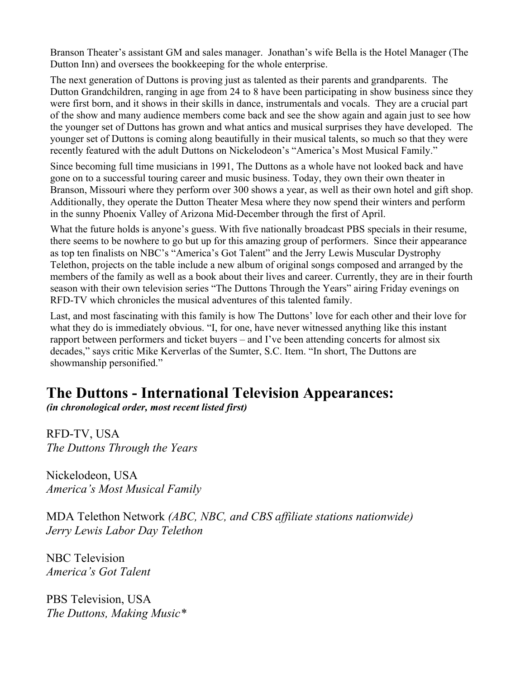Branson Theater's assistant GM and sales manager. Jonathan's wife Bella is the Hotel Manager (The Dutton Inn) and oversees the bookkeeping for the whole enterprise.

The next generation of Duttons is proving just as talented as their parents and grandparents. The Dutton Grandchildren, ranging in age from 24 to 8 have been participating in show business since they were first born, and it shows in their skills in dance, instrumentals and vocals. They are a crucial part of the show and many audience members come back and see the show again and again just to see how the younger set of Duttons has grown and what antics and musical surprises they have developed. The younger set of Duttons is coming along beautifully in their musical talents, so much so that they were recently featured with the adult Duttons on Nickelodeon's "America's Most Musical Family."

Since becoming full time musicians in 1991, The Duttons as a whole have not looked back and have gone on to a successful touring career and music business. Today, they own their own theater in Branson, Missouri where they perform over 300 shows a year, as well as their own hotel and gift shop. Additionally, they operate the Dutton Theater Mesa where they now spend their winters and perform in the sunny Phoenix Valley of Arizona Mid-December through the first of April.

What the future holds is anyone's guess. With five nationally broadcast PBS specials in their resume, there seems to be nowhere to go but up for this amazing group of performers. Since their appearance as top ten finalists on NBC's "America's Got Talent" and the Jerry Lewis Muscular Dystrophy Telethon, projects on the table include a new album of original songs composed and arranged by the members of the family as well as a book about their lives and career. Currently, they are in their fourth season with their own television series "The Duttons Through the Years" airing Friday evenings on RFD-TV which chronicles the musical adventures of this talented family.

Last, and most fascinating with this family is how The Duttons' love for each other and their love for what they do is immediately obvious. "I, for one, have never witnessed anything like this instant rapport between performers and ticket buyers – and I've been attending concerts for almost six decades," says critic Mike Kerverlas of the Sumter, S.C. Item. "In short, The Duttons are showmanship personified."

## **The Duttons - International Television Appearances:**

*(in chronological order, most recent listed first)*

RFD-TV, USA *The Duttons Through the Years* 

Nickelodeon, USA *America's Most Musical Family*

MDA Telethon Network *(ABC, NBC, and CBS affiliate stations nationwide) Jerry Lewis Labor Day Telethon*

NBC Television *America's Got Talent*

PBS Television, USA *The Duttons, Making Music\**